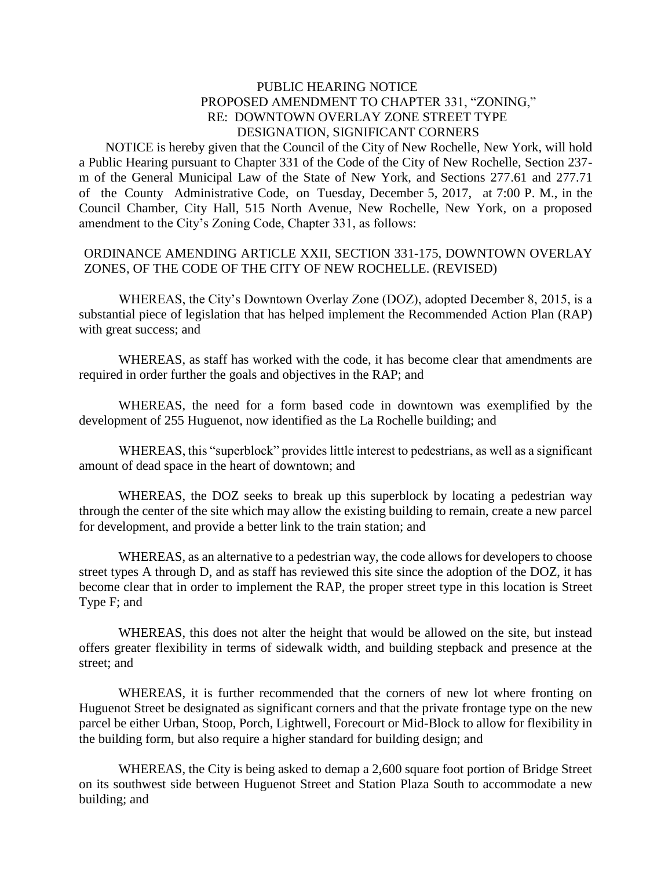## PUBLIC HEARING NOTICE PROPOSED AMENDMENT TO CHAPTER 331, "ZONING," RE: DOWNTOWN OVERLAY ZONE STREET TYPE DESIGNATION, SIGNIFICANT CORNERS

 NOTICE is hereby given that the Council of the City of New Rochelle, New York, will hold a Public Hearing pursuant to Chapter 331 of the Code of the City of New Rochelle, Section 237 m of the General Municipal Law of the State of New York, and Sections 277.61 and 277.71 of the County Administrative Code, on Tuesday, December 5*,* 2017, at 7:00 P. M., in the Council Chamber, City Hall, 515 North Avenue, New Rochelle, New York, on a proposed amendment to the City's Zoning Code, Chapter 331, as follows:

## ORDINANCE AMENDING ARTICLE XXII, SECTION 331-175, DOWNTOWN OVERLAY ZONES, OF THE CODE OF THE CITY OF NEW ROCHELLE. (REVISED)

WHEREAS, the City's Downtown Overlay Zone (DOZ), adopted December 8, 2015, is a substantial piece of legislation that has helped implement the Recommended Action Plan (RAP) with great success; and

WHEREAS, as staff has worked with the code, it has become clear that amendments are required in order further the goals and objectives in the RAP; and

WHEREAS, the need for a form based code in downtown was exemplified by the development of 255 Huguenot, now identified as the La Rochelle building; and

WHEREAS, this "superblock" provides little interest to pedestrians, as well as a significant amount of dead space in the heart of downtown; and

WHEREAS, the DOZ seeks to break up this superblock by locating a pedestrian way through the center of the site which may allow the existing building to remain, create a new parcel for development, and provide a better link to the train station; and

WHEREAS, as an alternative to a pedestrian way, the code allows for developers to choose street types A through D, and as staff has reviewed this site since the adoption of the DOZ, it has become clear that in order to implement the RAP, the proper street type in this location is Street Type F; and

WHEREAS, this does not alter the height that would be allowed on the site, but instead offers greater flexibility in terms of sidewalk width, and building stepback and presence at the street; and

WHEREAS, it is further recommended that the corners of new lot where fronting on Huguenot Street be designated as significant corners and that the private frontage type on the new parcel be either Urban, Stoop, Porch, Lightwell, Forecourt or Mid-Block to allow for flexibility in the building form, but also require a higher standard for building design; and

WHEREAS, the City is being asked to demap a 2,600 square foot portion of Bridge Street on its southwest side between Huguenot Street and Station Plaza South to accommodate a new building; and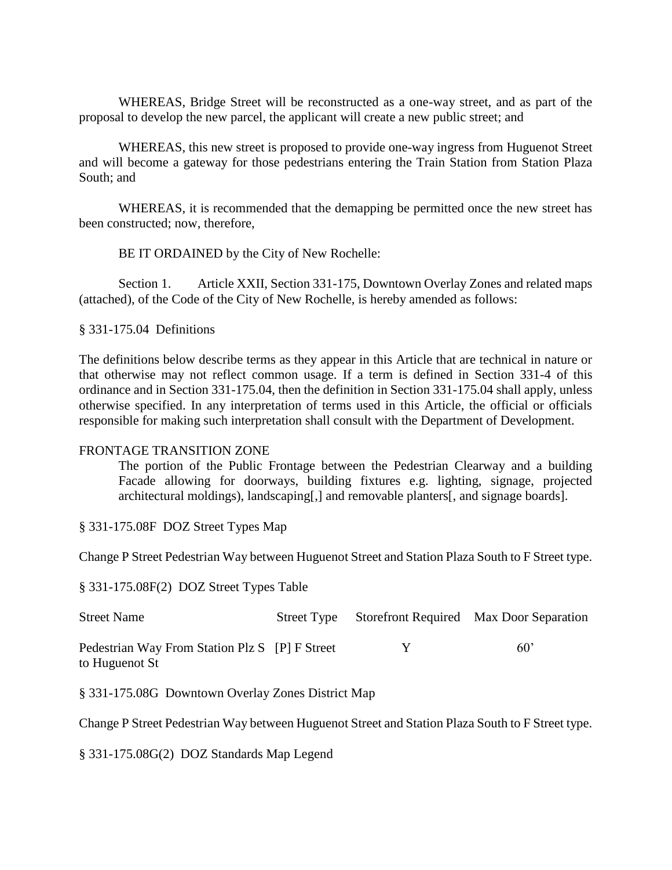WHEREAS, Bridge Street will be reconstructed as a one-way street, and as part of the proposal to develop the new parcel, the applicant will create a new public street; and

WHEREAS, this new street is proposed to provide one-way ingress from Huguenot Street and will become a gateway for those pedestrians entering the Train Station from Station Plaza South; and

WHEREAS, it is recommended that the demapping be permitted once the new street has been constructed; now, therefore,

BE IT ORDAINED by the City of New Rochelle:

Section 1. Article XXII, Section 331-175, Downtown Overlay Zones and related maps (attached), of the Code of the City of New Rochelle, is hereby amended as follows:

§ 331-175.04 Definitions

The definitions below describe terms as they appear in this Article that are technical in nature or that otherwise may not reflect common usage. If a term is defined in Section 331-4 of this ordinance and in Section 331-175.04, then the definition in Section 331-175.04 shall apply, unless otherwise specified. In any interpretation of terms used in this Article, the official or officials responsible for making such interpretation shall consult with the Department of Development.

## FRONTAGE TRANSITION ZONE

The portion of the Public Frontage between the Pedestrian Clearway and a building Facade allowing for doorways, building fixtures e.g. lighting, signage, projected architectural moldings), landscaping[,] and removable planters[, and signage boards].

§ 331-175.08F DOZ Street Types Map

Change P Street Pedestrian Way between Huguenot Street and Station Plaza South to F Street type.

§ 331-175.08F(2) DOZ Street Types Table

| <b>Street Name</b>                                               |  | Street Type Storefront Required Max Door Separation |
|------------------------------------------------------------------|--|-----------------------------------------------------|
| Pedestrian Way From Station Plz S [P] F Street<br>to Huguenot St |  | $60^{\circ}$                                        |

§ 331-175.08G Downtown Overlay Zones District Map

Change P Street Pedestrian Way between Huguenot Street and Station Plaza South to F Street type.

§ 331-175.08G(2) DOZ Standards Map Legend